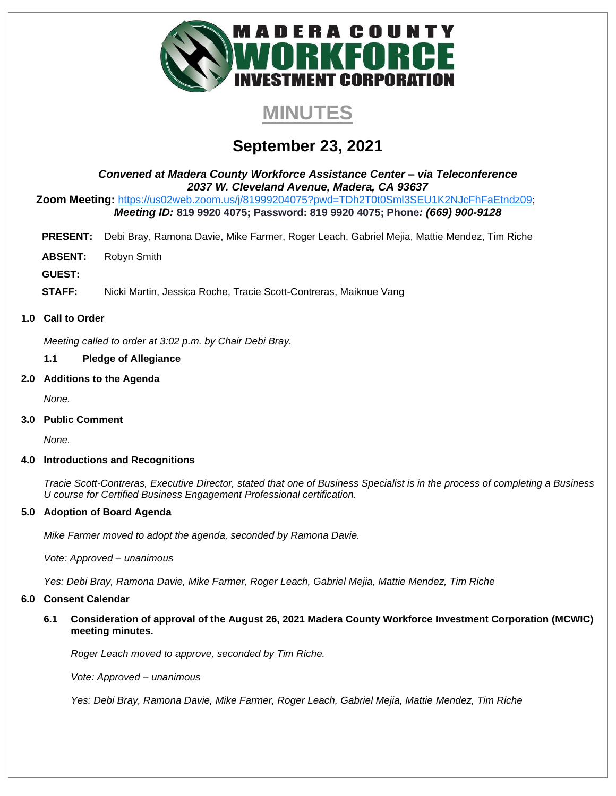

# **MINUTES**

# **September 23, 2021**

*Convened at Madera County Workforce Assistance Center – via Teleconference 2037 W. Cleveland Avenue, Madera, CA 93637*

**Zoom Meeting:** <https://us02web.zoom.us/j/81999204075?pwd=TDh2T0t0Sml3SEU1K2NJcFhFaEtndz09>; *Meeting ID:* **819 9920 4075; Password: 819 9920 4075; Phone***: (669) 900-9128*

- **PRESENT:** Debi Bray, Ramona Davie, Mike Farmer, Roger Leach, Gabriel Mejia, Mattie Mendez, Tim Riche
- **ABSENT:** Robyn Smith

**GUEST:**

**STAFF:** Nicki Martin, Jessica Roche, Tracie Scott-Contreras, Maiknue Vang

# **1.0 Call to Order**

*Meeting called to order at 3:02 p.m. by Chair Debi Bray.* 

#### **1.1 Pledge of Allegiance**

#### **2.0 Additions to the Agenda**

*None.* 

**3.0 Public Comment**

*None.* 

#### **4.0 Introductions and Recognitions**

*Tracie Scott-Contreras, Executive Director, stated that one of Business Specialist is in the process of completing a Business U course for Certified Business Engagement Professional certification.* 

# **5.0 Adoption of Board Agenda**

*Mike Farmer moved to adopt the agenda, seconded by Ramona Davie.* 

*Vote: Approved – unanimous*

*Yes: Debi Bray, Ramona Davie, Mike Farmer, Roger Leach, Gabriel Mejia, Mattie Mendez, Tim Riche*

# **6.0 Consent Calendar**

**6.1 Consideration of approval of the August 26, 2021 Madera County Workforce Investment Corporation (MCWIC) meeting minutes.** 

*Roger Leach moved to approve, seconded by Tim Riche.* 

*Vote: Approved – unanimous*

*Yes: Debi Bray, Ramona Davie, Mike Farmer, Roger Leach, Gabriel Mejia, Mattie Mendez, Tim Riche*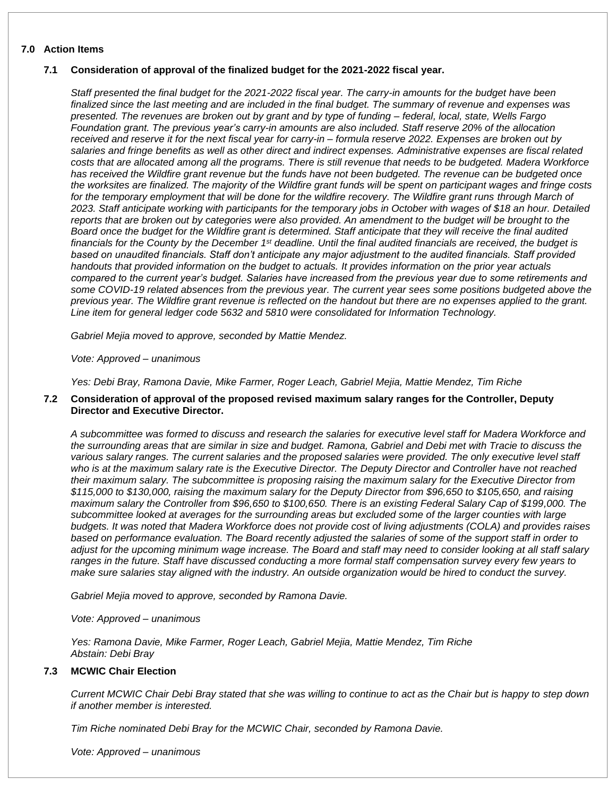# **7.0 Action Items**

#### **7.1 Consideration of approval of the finalized budget for the 2021-2022 fiscal year.**

*Staff presented the final budget for the 2021-2022 fiscal year. The carry-in amounts for the budget have been finalized since the last meeting and are included in the final budget. The summary of revenue and expenses was presented. The revenues are broken out by grant and by type of funding – federal, local, state, Wells Fargo Foundation grant. The previous year's carry-in amounts are also included. Staff reserve 20% of the allocation received and reserve it for the next fiscal year for carry-in – formula reserve 2022. Expenses are broken out by salaries and fringe benefits as well as other direct and indirect expenses. Administrative expenses are fiscal related costs that are allocated among all the programs. There is still revenue that needs to be budgeted. Madera Workforce has received the Wildfire grant revenue but the funds have not been budgeted. The revenue can be budgeted once the worksites are finalized. The majority of the Wildfire grant funds will be spent on participant wages and fringe costs*  for the temporary employment that will be done for the wildfire recovery. The Wildfire grant runs through March of *2023. Staff anticipate working with participants for the temporary jobs in October with wages of \$18 an hour. Detailed reports that are broken out by categories were also provided. An amendment to the budget will be brought to the Board once the budget for the Wildfire grant is determined. Staff anticipate that they will receive the final audited financials for the County by the December 1st deadline. Until the final audited financials are received, the budget is based on unaudited financials. Staff don't anticipate any major adjustment to the audited financials. Staff provided handouts that provided information on the budget to actuals. It provides information on the prior year actuals compared to the current year's budget. Salaries have increased from the previous year due to some retirements and some COVID-19 related absences from the previous year. The current year sees some positions budgeted above the previous year. The Wildfire grant revenue is reflected on the handout but there are no expenses applied to the grant. Line item for general ledger code 5632 and 5810 were consolidated for Information Technology.* 

*Gabriel Mejia moved to approve, seconded by Mattie Mendez.* 

*Vote: Approved – unanimous*

*Yes: Debi Bray, Ramona Davie, Mike Farmer, Roger Leach, Gabriel Mejia, Mattie Mendez, Tim Riche*

#### **7.2 Consideration of approval of the proposed revised maximum salary ranges for the Controller, Deputy Director and Executive Director.**

*A subcommittee was formed to discuss and research the salaries for executive level staff for Madera Workforce and the surrounding areas that are similar in size and budget. Ramona, Gabriel and Debi met with Tracie to discuss the various salary ranges. The current salaries and the proposed salaries were provided. The only executive level staff who is at the maximum salary rate is the Executive Director. The Deputy Director and Controller have not reached their maximum salary. The subcommittee is proposing raising the maximum salary for the Executive Director from \$115,000 to \$130,000, raising the maximum salary for the Deputy Director from \$96,650 to \$105,650, and raising maximum salary the Controller from \$96,650 to \$100,650. There is an existing Federal Salary Cap of \$199,000. The subcommittee looked at averages for the surrounding areas but excluded some of the larger counties with large budgets. It was noted that Madera Workforce does not provide cost of living adjustments (COLA) and provides raises based on performance evaluation. The Board recently adjusted the salaries of some of the support staff in order to adjust for the upcoming minimum wage increase. The Board and staff may need to consider looking at all staff salary ranges in the future. Staff have discussed conducting a more formal staff compensation survey every few years to make sure salaries stay aligned with the industry. An outside organization would be hired to conduct the survey.* 

*Gabriel Mejia moved to approve, seconded by Ramona Davie.* 

*Vote: Approved – unanimous*

*Yes: Ramona Davie, Mike Farmer, Roger Leach, Gabriel Mejia, Mattie Mendez, Tim Riche Abstain: Debi Bray*

#### **7.3 MCWIC Chair Election**

*Current MCWIC Chair Debi Bray stated that she was willing to continue to act as the Chair but is happy to step down if another member is interested.* 

*Tim Riche nominated Debi Bray for the MCWIC Chair, seconded by Ramona Davie.* 

*Vote: Approved – unanimous*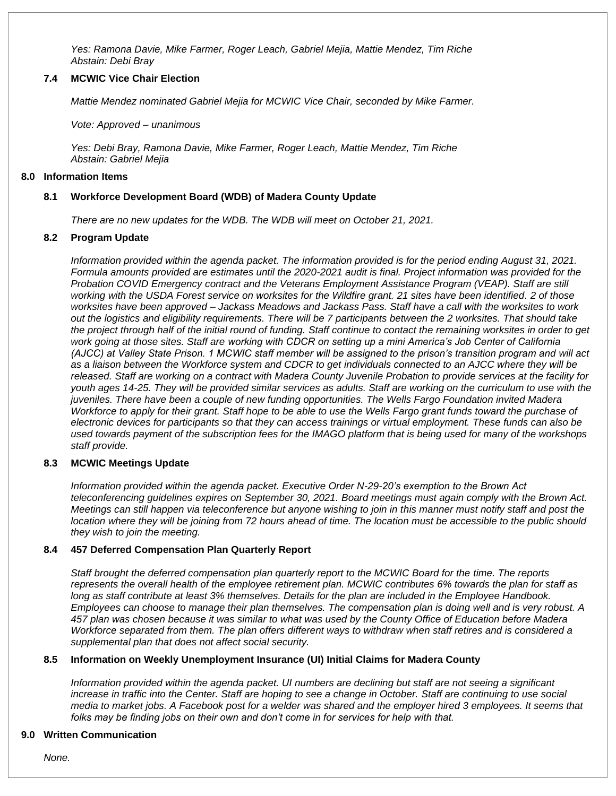*Yes: Ramona Davie, Mike Farmer, Roger Leach, Gabriel Mejia, Mattie Mendez, Tim Riche Abstain: Debi Bray*

# **7.4 MCWIC Vice Chair Election**

*Mattie Mendez nominated Gabriel Mejia for MCWIC Vice Chair, seconded by Mike Farmer.* 

*Vote: Approved – unanimous*

*Yes: Debi Bray, Ramona Davie, Mike Farmer, Roger Leach, Mattie Mendez, Tim Riche Abstain: Gabriel Mejia*

#### **8.0 Information Items**

# **8.1 Workforce Development Board (WDB) of Madera County Update**

*There are no new updates for the WDB. The WDB will meet on October 21, 2021.* 

#### **8.2 Program Update**

*Information provided within the agenda packet. The information provided is for the period ending August 31, 2021. Formula amounts provided are estimates until the 2020-2021 audit is final. Project information was provided for the Probation COVID Emergency contract and the Veterans Employment Assistance Program (VEAP). Staff are still working with the USDA Forest service on worksites for the Wildfire grant. 21 sites have been identified. 2 of those worksites have been approved – Jackass Meadows and Jackass Pass. Staff have a call with the worksites to work out the logistics and eligibility requirements. There will be 7 participants between the 2 worksites. That should take the project through half of the initial round of funding. Staff continue to contact the remaining worksites in order to get work going at those sites. Staff are working with CDCR on setting up a mini America's Job Center of California (AJCC) at Valley State Prison. 1 MCWIC staff member will be assigned to the prison's transition program and will act as a liaison between the Workforce system and CDCR to get individuals connected to an AJCC where they will be released. Staff are working on a contract with Madera County Juvenile Probation to provide services at the facility for youth ages 14-25. They will be provided similar services as adults. Staff are working on the curriculum to use with the juveniles. There have been a couple of new funding opportunities. The Wells Fargo Foundation invited Madera Workforce to apply for their grant. Staff hope to be able to use the Wells Fargo grant funds toward the purchase of electronic devices for participants so that they can access trainings or virtual employment. These funds can also be used towards payment of the subscription fees for the IMAGO platform that is being used for many of the workshops staff provide.* 

#### **8.3 MCWIC Meetings Update**

*Information provided within the agenda packet. Executive Order N-29-20's exemption to the Brown Act teleconferencing guidelines expires on September 30, 2021. Board meetings must again comply with the Brown Act. Meetings can still happen via teleconference but anyone wishing to join in this manner must notify staff and post the location where they will be joining from 72 hours ahead of time. The location must be accessible to the public should they wish to join the meeting.* 

#### **8.4 457 Deferred Compensation Plan Quarterly Report**

*Staff brought the deferred compensation plan quarterly report to the MCWIC Board for the time. The reports represents the overall health of the employee retirement plan. MCWIC contributes 6% towards the plan for staff as long as staff contribute at least 3% themselves. Details for the plan are included in the Employee Handbook. Employees can choose to manage their plan themselves. The compensation plan is doing well and is very robust. A 457 plan was chosen because it was similar to what was used by the County Office of Education before Madera Workforce separated from them. The plan offers different ways to withdraw when staff retires and is considered a supplemental plan that does not affect social security.* 

#### **8.5 Information on Weekly Unemployment Insurance (UI) Initial Claims for Madera County**

*Information provided within the agenda packet. UI numbers are declining but staff are not seeing a significant increase in traffic into the Center. Staff are hoping to see a change in October. Staff are continuing to use social media to market jobs. A Facebook post for a welder was shared and the employer hired 3 employees. It seems that folks may be finding jobs on their own and don't come in for services for help with that.* 

#### **9.0 Written Communication**

*None.*